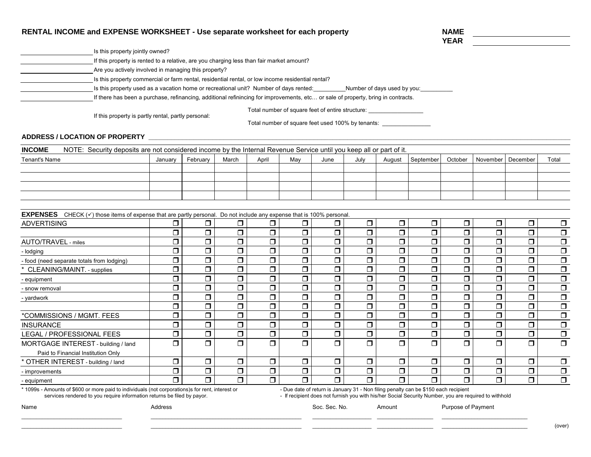| RENTAL INCOME and EXPENSE WORKSHEET - Use separate worksheet for each property                                                                                                               |         |          |        |                      |        |        |                             |        |           | <b>NAME</b> |          |          |                      |  |
|----------------------------------------------------------------------------------------------------------------------------------------------------------------------------------------------|---------|----------|--------|----------------------|--------|--------|-----------------------------|--------|-----------|-------------|----------|----------|----------------------|--|
|                                                                                                                                                                                              |         |          |        |                      |        |        |                             |        |           | <b>YEAR</b> |          |          |                      |  |
| Is this property jointly owned?                                                                                                                                                              |         |          |        |                      |        |        |                             |        |           |             |          |          |                      |  |
| If this property is rented to a relative, are you charging less than fair market amount?                                                                                                     |         |          |        |                      |        |        |                             |        |           |             |          |          |                      |  |
| Are you actively involved in managing this property?                                                                                                                                         |         |          |        |                      |        |        |                             |        |           |             |          |          |                      |  |
| Is this property commercial or farm rental, residential rental, or low income residential rental?                                                                                            |         |          |        |                      |        |        |                             |        |           |             |          |          |                      |  |
| Is this property used as a vacation home or recreational unit? Number of days rented:                                                                                                        |         |          |        |                      |        |        | Number of days used by you: |        |           |             |          |          |                      |  |
| If there has been a purchase, refinancing, additional refinincing for improvements, etc or sale of property, bring in contracts.                                                             |         |          |        |                      |        |        |                             |        |           |             |          |          |                      |  |
| Total number of square feet of entire structure: _______________________________<br>If this property is partly rental, partly personal:<br>Total number of square feet used 100% by tenants: |         |          |        |                      |        |        |                             |        |           |             |          |          |                      |  |
| <b>ADDRESS / LOCATION OF PROPERTY</b>                                                                                                                                                        |         |          |        |                      |        |        |                             |        |           |             |          |          |                      |  |
| <b>INCOME</b><br>NOTE: Security deposits are not considered income by the Internal Revenue Service until you keep all or part of it.                                                         |         |          |        |                      |        |        |                             |        |           |             |          |          |                      |  |
| <b>Tenant's Name</b>                                                                                                                                                                         | January | February | March  | April                | May    | June   | July                        | August | September | October     | November | December | Total                |  |
|                                                                                                                                                                                              |         |          |        |                      |        |        |                             |        |           |             |          |          |                      |  |
|                                                                                                                                                                                              |         |          |        |                      |        |        |                             |        |           |             |          |          |                      |  |
|                                                                                                                                                                                              |         |          |        |                      |        |        |                             |        |           |             |          |          |                      |  |
|                                                                                                                                                                                              |         |          |        |                      |        |        |                             |        |           |             |          |          |                      |  |
|                                                                                                                                                                                              |         |          |        |                      |        |        |                             |        |           |             |          |          |                      |  |
| EXPENSES CHECK $(v)$ those items of expense that are partly personal. Do not include any expense that is 100% personal                                                                       |         |          |        |                      |        |        |                             |        |           |             |          |          |                      |  |
| <b>ADVERTISING</b>                                                                                                                                                                           | $\Box$  | $\Box$   | $\Box$ | $\Box$               | $\Box$ | $\Box$ | $\Box$                      | $\Box$ | $\Box$    | $\Box$      | $\Box$   | $\Box$   | $\Box$               |  |
|                                                                                                                                                                                              | $\Box$  | $\Box$   | $\Box$ | $\Box$               | $\Box$ | $\Box$ | $\Box$                      | $\Box$ | $\Box$    | $\Box$      | $\Box$   | $\Box$   | $\Box$               |  |
| AUTO/TRAVEL - miles                                                                                                                                                                          | $\Box$  | $\Box$   | $\Box$ | $\Box$               | $\Box$ | $\Box$ | $\Box$                      | $\Box$ | $\Box$    | $\Box$      | $\Box$   | $\Box$   | $\Box$               |  |
| - lodging                                                                                                                                                                                    | $\Box$  | $\Box$   | $\Box$ | $\Box$               | $\Box$ | $\Box$ | $\Box$                      | $\Box$ | $\Box$    | $\Box$      | $\Box$   | $\Box$   | $\Box$               |  |
| - food (need separate totals from lodging)                                                                                                                                                   | $\Box$  | $\Box$   | $\Box$ | $\Box$               | $\Box$ | $\Box$ | $\Box$                      | $\Box$ | $\Box$    | $\Box$      | $\Box$   | $\Box$   | $\Box$               |  |
| CLEANING/MAINT. - supplies                                                                                                                                                                   | $\Box$  | $\Box$   | $\Box$ | $\Box$               | $\Box$ | $\Box$ | $\Box$                      | $\Box$ | $\Box$    | $\Box$      | $\Box$   | $\Box$   | $\Box$               |  |
| equipment                                                                                                                                                                                    | $\Box$  | $\Box$   | $\Box$ | $\Box$               | $\Box$ | $\Box$ | $\Box$                      | $\Box$ | $\Box$    | $\Box$      | $\Box$   | $\Box$   | $\Box$               |  |
| - snow removal                                                                                                                                                                               | $\Box$  | $\Box$   | $\Box$ | $\Box$               | $\Box$ | $\Box$ | $\Box$                      | $\Box$ | $\Box$    | $\Box$      | $\Box$   | $\Box$   | $\Box$               |  |
| - yardwork                                                                                                                                                                                   | $\Box$  | $\Box$   | $\Box$ | $\Box$               | $\Box$ | $\Box$ | $\Box$                      | $\Box$ | $\Box$    | $\Box$      | $\Box$   | $\Box$   | $\overline{\square}$ |  |
|                                                                                                                                                                                              | $\Box$  | $\Box$   | $\Box$ | $\Box$               | $\Box$ | $\Box$ | $\Box$                      | $\Box$ | $\Box$    | $\Box$      | $\Box$   | $\Box$   | $\overline{\square}$ |  |
| *COMMISSIONS / MGMT. FEES                                                                                                                                                                    | $\Box$  | $\Box$   | $\Box$ | $\overline{\square}$ | $\Box$ | $\Box$ | $\Box$                      | $\Box$ | $\Box$    | $\Box$      | $\Box$   | $\Box$   | $\overline{\square}$ |  |
| <b>INSURANCE</b>                                                                                                                                                                             | $\Box$  | $\Box$   | $\Box$ | $\overline{\square}$ | $\Box$ | $\Box$ | $\overline{\square}$        | $\Box$ | $\Box$    | $\Box$      | $\Box$   | $\Box$   | $\overline{\Box}$    |  |
| LEGAL / PROFESSIONAL FEES                                                                                                                                                                    | $\Box$  | $\Box$   | $\Box$ | $\Box$               | $\Box$ | $\Box$ | $\Box$                      | $\Box$ | $\Box$    | $\Box$      | $\Box$   | $\Box$   | $\overline{\Box}$    |  |
| MORTGAGE INTEREST - building / land                                                                                                                                                          | $\Box$  | $\Box$   | $\Box$ | $\Box$               | $\Box$ | $\Box$ | $\Box$                      | $\Box$ | $\Box$    | $\Box$      | $\Box$   | $\Box$   | $\Box$               |  |
| Paid to Financial Institution Only                                                                                                                                                           |         |          |        |                      |        |        |                             |        |           |             |          |          |                      |  |
| * OTHER INTEREST - building / land                                                                                                                                                           | $\Box$  | $\Box$   | $\Box$ | $\Box$               | $\Box$ | $\Box$ | $\Box$                      | $\Box$ | $\Box$    | $\Box$      | $\Box$   | $\Box$   | $\Box$               |  |
| - improvements                                                                                                                                                                               | $\Box$  | $\Box$   | $\Box$ | $\Box$               | $\Box$ | $\Box$ | $\Box$                      | $\Box$ | $\Box$    | $\Box$      | $\Box$   | $\Box$   | $\Box$               |  |
| - equipment                                                                                                                                                                                  | $\Box$  | $\Box$   | $\Box$ | $\Box$               | $\Box$ | $\Box$ | $\Box$                      | $\Box$ | $\Box$    | $\Box$      | $\Box$   | $\Box$   | $\Box$               |  |

\* 1099s - Amounts of \$600 or more paid to individuals (not corporations)s for rent, interest or services rendered to you require information returns be filed by payor.

- Due date of return is January 31 - Non filing penalty can be \$150 each recipient<br>- If recipient does not furnish you with his/her Social Security Number, you are required to withhold

Name **Address** Address Address Address Address Address Address Address Address Address Address Address Address A Soc. Sec. No. Amount Purpose of Payment

\_\_\_\_\_\_\_\_\_\_\_\_\_\_\_\_\_\_\_\_\_\_\_\_\_\_\_\_\_\_\_\_\_\_ \_\_\_\_\_\_\_\_\_\_\_\_\_\_\_\_\_\_\_\_\_\_\_\_\_\_\_\_\_\_\_\_\_\_\_\_\_\_\_\_\_\_\_\_\_\_\_\_\_\_\_ \_\_\_\_\_\_\_\_\_\_\_\_\_\_\_\_\_\_\_\_ \_\_\_\_\_\_\_\_\_\_\_\_\_\_\_\_\_\_\_ \_\_\_\_\_\_\_\_\_\_\_\_\_\_\_\_\_\_\_\_\_\_\_\_\_\_\_\_\_